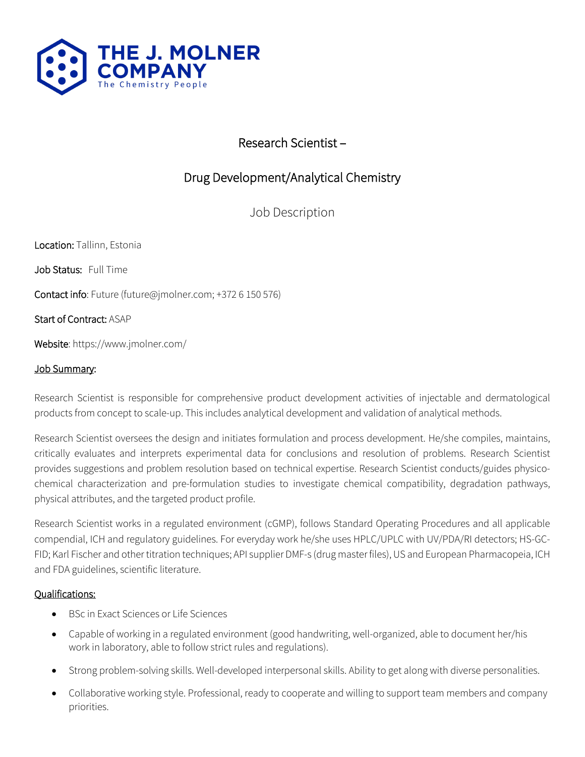

## Research Scientist –

# Drug Development/Analytical Chemistry

Job Description

Location: Tallinn, Estonia

Job Status: Full Time

Contact info: Future (future@jmolner.com; +372 6 150 576)

Start of Contract: ASAP

Website: https://www.jmolner.com/

#### Job Summary:

Research Scientist is responsible for comprehensive product development activities of injectable and dermatological products from concept to scale-up. This includes analytical development and validation of analytical methods.

Research Scientist oversees the design and initiates formulation and process development. He/she compiles, maintains, critically evaluates and interprets experimental data for conclusions and resolution of problems. Research Scientist provides suggestions and problem resolution based on technical expertise. Research Scientist conducts/guides physicochemical characterization and pre-formulation studies to investigate chemical compatibility, degradation pathways, physical attributes, and the targeted product profile.

Research Scientist works in a regulated environment (cGMP), follows Standard Operating Procedures and all applicable compendial, ICH and regulatory guidelines. For everyday work he/she uses HPLC/UPLC with UV/PDA/RI detectors; HS-GC-FID; Karl Fischer and other titration techniques; API supplier DMF-s (drug master files), US and European Pharmacopeia, ICH and FDA guidelines, scientific literature.

#### Qualifications:

- BSc in Exact Sciences or Life Sciences
- Capable of working in a regulated environment (good handwriting, well-organized, able to document her/his work in laboratory, able to follow strict rules and regulations).
- Strong problem-solving skills. Well-developed interpersonal skills. Ability to get along with diverse personalities.
- Collaborative working style. Professional, ready to cooperate and willing to support team members and company priorities.